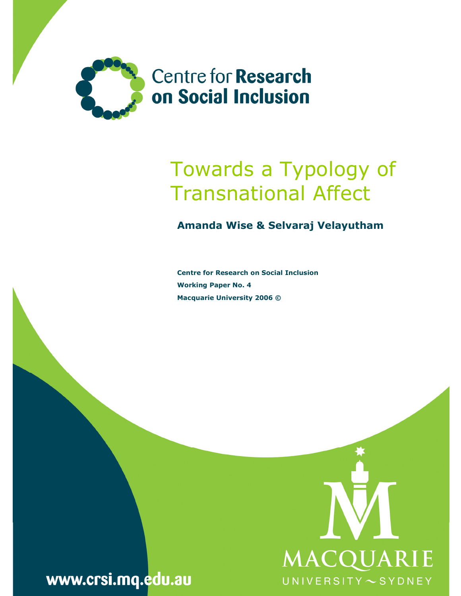

# Towards a Typology of Transnational Affect

### Amanda Wise & Selvaraj Velayutham

Centre for Research on Social Inclusion Working Paper No. 4 Macquarie University 2006 ©



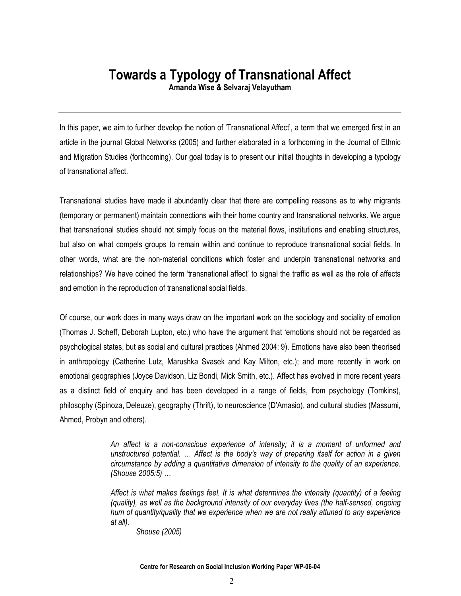## Towards a Typology of Transnational Affect

Amanda Wise & Selvaraj Velayutham

In this paper, we aim to further develop the notion of 'Transnational Affect', a term that we emerged first in an article in the journal Global Networks (2005) and further elaborated in a forthcoming in the Journal of Ethnic and Migration Studies (forthcoming). Our goal today is to present our initial thoughts in developing a typology of transnational affect.

Transnational studies have made it abundantly clear that there are compelling reasons as to why migrants (temporary or permanent) maintain connections with their home country and transnational networks. We argue that transnational studies should not simply focus on the material flows, institutions and enabling structures, but also on what compels groups to remain within and continue to reproduce transnational social fields. In other words, what are the non-material conditions which foster and underpin transnational networks and relationships? We have coined the term 'transnational affect' to signal the traffic as well as the role of affects and emotion in the reproduction of transnational social fields.

Of course, our work does in many ways draw on the important work on the sociology and sociality of emotion (Thomas J. Scheff, Deborah Lupton, etc.) who have the argument that 'emotions should not be regarded as psychological states, but as social and cultural practices (Ahmed 2004: 9). Emotions have also been theorised in anthropology (Catherine Lutz, Marushka Svasek and Kay Milton, etc.); and more recently in work on emotional geographies (Joyce Davidson, Liz Bondi, Mick Smith, etc.). Affect has evolved in more recent years as a distinct field of enquiry and has been developed in a range of fields, from psychology (Tomkins), philosophy (Spinoza, Deleuze), geography (Thrift), to neuroscience (D'Amasio), and cultural studies (Massumi, Ahmed, Probyn and others).

> An affect is a non-conscious experience of intensity; it is a moment of unformed and unstructured potential. … Affect is the body's way of preparing itself for action in a given circumstance by adding a quantitative dimension of intensity to the quality of an experience. (Shouse 2005:5) …

> Affect is what makes feelings feel. It is what determines the intensity (quantity) of a feeling (quality), as well as the background intensity of our everyday lives (the half-sensed, ongoing hum of quantity/quality that we experience when we are not really attuned to any experience at all).

Shouse (2005)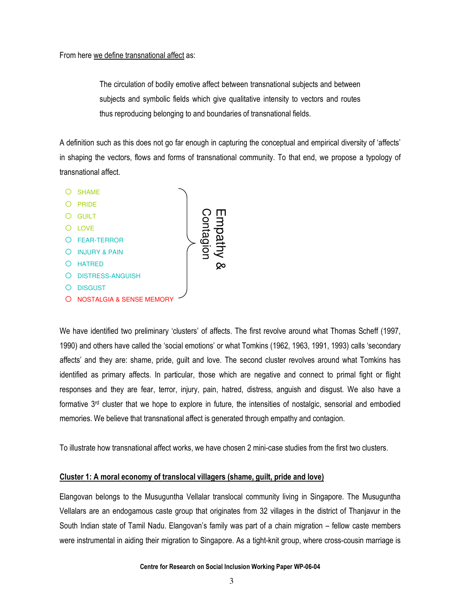#### From here we define transnational affect as:

The circulation of bodily emotive affect between transnational subjects and between subjects and symbolic fields which give qualitative intensity to vectors and routes thus reproducing belonging to and boundaries of transnational fields.

A definition such as this does not go far enough in capturing the conceptual and empirical diversity of 'affects' in shaping the vectors, flows and forms of transnational community. To that end, we propose a typology of transnational affect.



We have identified two preliminary 'clusters' of affects. The first revolve around what Thomas Scheff (1997, 1990) and others have called the 'social emotions' or what Tomkins (1962, 1963, 1991, 1993) calls 'secondary affects' and they are: shame, pride, guilt and love. The second cluster revolves around what Tomkins has identified as primary affects. In particular, those which are negative and connect to primal fight or flight responses and they are fear, terror, injury, pain, hatred, distress, anguish and disgust. We also have a formative  $3<sup>rd</sup>$  cluster that we hope to explore in future, the intensities of nostalgic, sensorial and embodied memories. We believe that transnational affect is generated through empathy and contagion.

To illustrate how transnational affect works, we have chosen 2 mini-case studies from the first two clusters.

#### Cluster 1: A moral economy of translocal villagers (shame, guilt, pride and love)

Elangovan belongs to the Musuguntha Vellalar translocal community living in Singapore. The Musuguntha Vellalars are an endogamous caste group that originates from 32 villages in the district of Thanjavur in the South Indian state of Tamil Nadu. Elangovan's family was part of a chain migration – fellow caste members were instrumental in aiding their migration to Singapore. As a tight-knit group, where cross-cousin marriage is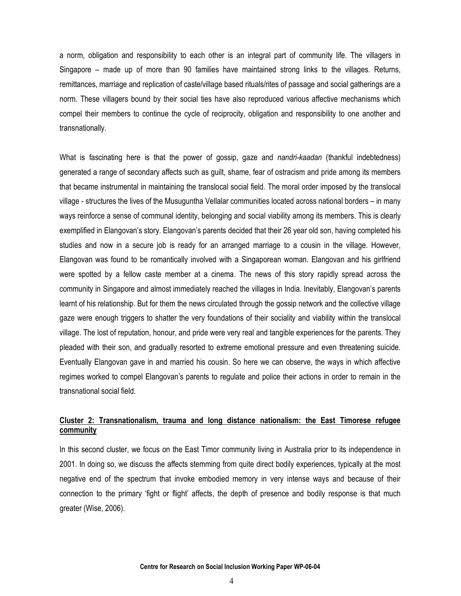a norm, obligation and responsibility to each other is an integral part of community life. The villagers in Singapore – made up of more than 90 families have maintained strong links to the villages. Returns, remittances, marriage and replication of caste/village based rituals/rites of passage and social gatherings are a norm. These villagers bound by their social ties have also reproduced various affective mechanisms which compel their members to continue the cycle of reciprocity, obligation and responsibility to one another and transnationally.

What is fascinating here is that the power of gossip, gaze and *nandri-kaadan* (thankful indebtedness) generated a range of secondary affects such as guilt, shame, fear of ostracism and pride among its members that became instrumental in maintaining the translocal social field. The moral order imposed by the translocal village - structures the lives of the Musuguntha Vellalar communities located across national borders – in many ways reinforce a sense of communal identity, belonging and social viability among its members. This is clearly exemplified in Elangovan's story. Elangovan's parents decided that their 26 year old son, having completed his studies and now in a secure job is ready for an arranged marriage to a cousin in the village. However, Elangovan was found to be romantically involved with a Singaporean woman. Elangovan and his girlfriend were spotted by a fellow caste member at a cinema. The news of this story rapidly spread across the community in Singapore and almost immediately reached the villages in India. Inevitably, Elangovan's parents learnt of his relationship. But for them the news circulated through the gossip network and the collective village gaze were enough triggers to shatter the very foundations of their sociality and viability within the translocal village. The lost of reputation, honour, and pride were very real and tangible experiences for the parents. They pleaded with their son, and gradually resorted to extreme emotional pressure and even threatening suicide. Eventually Elangovan gave in and married his cousin. So here we can observe, the ways in which affective regimes worked to compel Elangovan's parents to regulate and police their actions in order to remain in the transnational social field.

#### Cluster 2: Transnationalism, trauma and long distance nationalism: the East Timorese refugee **community**

In this second cluster, we focus on the East Timor community living in Australia prior to its independence in 2001. In doing so, we discuss the affects stemming from quite direct bodily experiences, typically at the most negative end of the spectrum that invoke embodied memory in very intense ways and because of their connection to the primary 'fight or flight' affects, the depth of presence and bodily response is that much greater (Wise, 2006).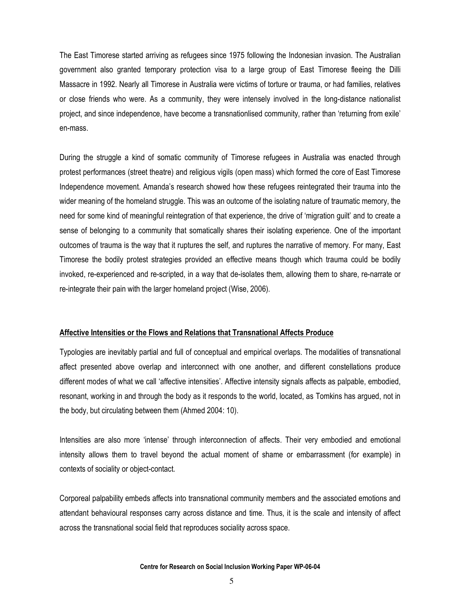The East Timorese started arriving as refugees since 1975 following the Indonesian invasion. The Australian government also granted temporary protection visa to a large group of East Timorese fleeing the Dilli Massacre in 1992. Nearly all Timorese in Australia were victims of torture or trauma, or had families, relatives or close friends who were. As a community, they were intensely involved in the long-distance nationalist project, and since independence, have become a transnationlised community, rather than 'returning from exile' en-mass.

During the struggle a kind of somatic community of Timorese refugees in Australia was enacted through protest performances (street theatre) and religious vigils (open mass) which formed the core of East Timorese Independence movement. Amanda's research showed how these refugees reintegrated their trauma into the wider meaning of the homeland struggle. This was an outcome of the isolating nature of traumatic memory, the need for some kind of meaningful reintegration of that experience, the drive of 'migration guilt' and to create a sense of belonging to a community that somatically shares their isolating experience. One of the important outcomes of trauma is the way that it ruptures the self, and ruptures the narrative of memory. For many, East Timorese the bodily protest strategies provided an effective means though which trauma could be bodily invoked, re-experienced and re-scripted, in a way that de-isolates them, allowing them to share, re-narrate or re-integrate their pain with the larger homeland project (Wise, 2006).

#### Affective Intensities or the Flows and Relations that Transnational Affects Produce

Typologies are inevitably partial and full of conceptual and empirical overlaps. The modalities of transnational affect presented above overlap and interconnect with one another, and different constellations produce different modes of what we call 'affective intensities'. Affective intensity signals affects as palpable, embodied, resonant, working in and through the body as it responds to the world, located, as Tomkins has argued, not in the body, but circulating between them (Ahmed 2004: 10).

Intensities are also more 'intense' through interconnection of affects. Their very embodied and emotional intensity allows them to travel beyond the actual moment of shame or embarrassment (for example) in contexts of sociality or object-contact.

Corporeal palpability embeds affects into transnational community members and the associated emotions and attendant behavioural responses carry across distance and time. Thus, it is the scale and intensity of affect across the transnational social field that reproduces sociality across space.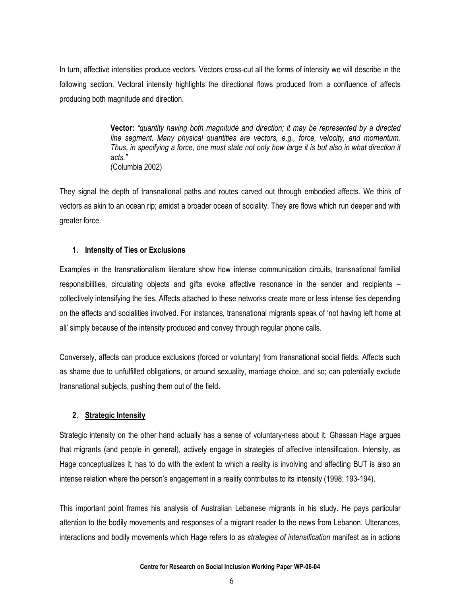In turn, affective intensities produce vectors. Vectors cross-cut all the forms of intensity we will describe in the following section. Vectoral intensity highlights the directional flows produced from a confluence of affects producing both magnitude and direction.

> Vector: "quantity having both magnitude and direction; it may be represented by a directed line segment. Many physical quantities are vectors, e.g., force, velocity, and momentum. Thus, in specifying a force, one must state not only how large it is but also in what direction it acts." (Columbia 2002)

They signal the depth of transnational paths and routes carved out through embodied affects. We think of vectors as akin to an ocean rip; amidst a broader ocean of sociality. They are flows which run deeper and with greater force.

#### 1. Intensity of Ties or Exclusions

Examples in the transnationalism literature show how intense communication circuits, transnational familial responsibilities, circulating objects and gifts evoke affective resonance in the sender and recipients – collectively intensifying the ties. Affects attached to these networks create more or less intense ties depending on the affects and socialities involved. For instances, transnational migrants speak of 'not having left home at all' simply because of the intensity produced and convey through regular phone calls.

Conversely, affects can produce exclusions (forced or voluntary) from transnational social fields. Affects such as shame due to unfulfilled obligations, or around sexuality, marriage choice, and so; can potentially exclude transnational subjects, pushing them out of the field.

#### 2. Strategic Intensity

Strategic intensity on the other hand actually has a sense of voluntary-ness about it. Ghassan Hage argues that migrants (and people in general), actively engage in strategies of affective intensification. Intensity, as Hage conceptualizes it, has to do with the extent to which a reality is involving and affecting BUT is also an intense relation where the person's engagement in a reality contributes to its intensity (1998: 193-194).

This important point frames his analysis of Australian Lebanese migrants in his study. He pays particular attention to the bodily movements and responses of a migrant reader to the news from Lebanon. Utterances, interactions and bodily movements which Hage refers to as strategies of intensification manifest as in actions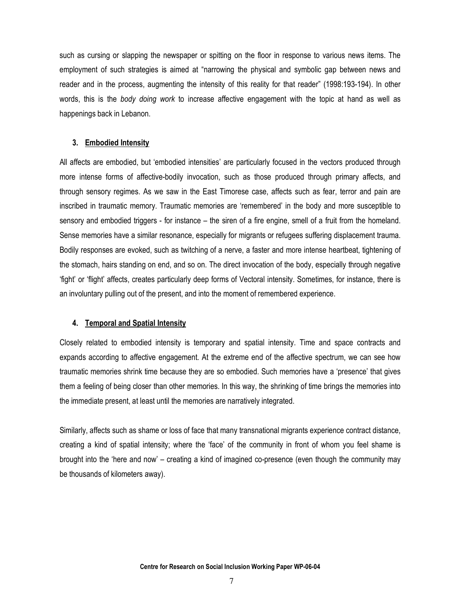such as cursing or slapping the newspaper or spitting on the floor in response to various news items. The employment of such strategies is aimed at "narrowing the physical and symbolic gap between news and reader and in the process, augmenting the intensity of this reality for that reader" (1998:193-194). In other words, this is the body doing work to increase affective engagement with the topic at hand as well as happenings back in Lebanon.

#### 3. Embodied Intensity

All affects are embodied, but 'embodied intensities' are particularly focused in the vectors produced through more intense forms of affective-bodily invocation, such as those produced through primary affects, and through sensory regimes. As we saw in the East Timorese case, affects such as fear, terror and pain are inscribed in traumatic memory. Traumatic memories are 'remembered' in the body and more susceptible to sensory and embodied triggers - for instance – the siren of a fire engine, smell of a fruit from the homeland. Sense memories have a similar resonance, especially for migrants or refugees suffering displacement trauma. Bodily responses are evoked, such as twitching of a nerve, a faster and more intense heartbeat, tightening of the stomach, hairs standing on end, and so on. The direct invocation of the body, especially through negative 'fight' or 'flight' affects, creates particularly deep forms of Vectoral intensity. Sometimes, for instance, there is an involuntary pulling out of the present, and into the moment of remembered experience.

#### 4. Temporal and Spatial Intensity

Closely related to embodied intensity is temporary and spatial intensity. Time and space contracts and expands according to affective engagement. At the extreme end of the affective spectrum, we can see how traumatic memories shrink time because they are so embodied. Such memories have a 'presence' that gives them a feeling of being closer than other memories. In this way, the shrinking of time brings the memories into the immediate present, at least until the memories are narratively integrated.

Similarly, affects such as shame or loss of face that many transnational migrants experience contract distance, creating a kind of spatial intensity; where the 'face' of the community in front of whom you feel shame is brought into the 'here and now' – creating a kind of imagined co-presence (even though the community may be thousands of kilometers away).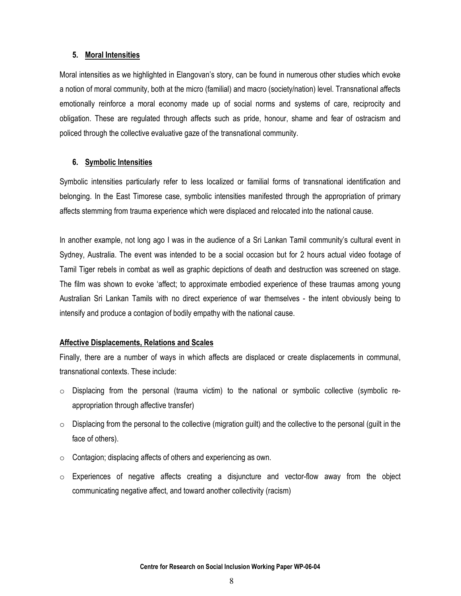#### 5. Moral Intensities

Moral intensities as we highlighted in Elangovan's story, can be found in numerous other studies which evoke a notion of moral community, both at the micro (familial) and macro (society/nation) level. Transnational affects emotionally reinforce a moral economy made up of social norms and systems of care, reciprocity and obligation. These are regulated through affects such as pride, honour, shame and fear of ostracism and policed through the collective evaluative gaze of the transnational community.

#### 6. Symbolic Intensities

Symbolic intensities particularly refer to less localized or familial forms of transnational identification and belonging. In the East Timorese case, symbolic intensities manifested through the appropriation of primary affects stemming from trauma experience which were displaced and relocated into the national cause.

In another example, not long ago I was in the audience of a Sri Lankan Tamil community's cultural event in Sydney, Australia. The event was intended to be a social occasion but for 2 hours actual video footage of Tamil Tiger rebels in combat as well as graphic depictions of death and destruction was screened on stage. The film was shown to evoke 'affect; to approximate embodied experience of these traumas among young Australian Sri Lankan Tamils with no direct experience of war themselves - the intent obviously being to intensify and produce a contagion of bodily empathy with the national cause.

#### Affective Displacements, Relations and Scales

Finally, there are a number of ways in which affects are displaced or create displacements in communal, transnational contexts. These include:

- $\circ$  Displacing from the personal (trauma victim) to the national or symbolic collective (symbolic reappropriation through affective transfer)
- $\circ$  Displacing from the personal to the collective (migration guilt) and the collective to the personal (guilt in the face of others).
- o Contagion; displacing affects of others and experiencing as own.
- $\circ$  Experiences of negative affects creating a disjuncture and vector-flow away from the object communicating negative affect, and toward another collectivity (racism)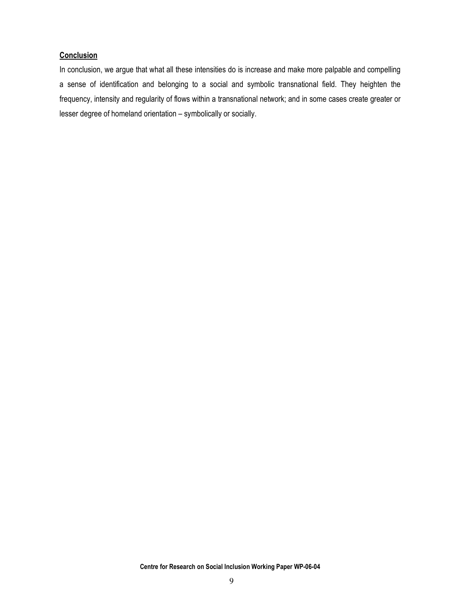#### **Conclusion**

In conclusion, we argue that what all these intensities do is increase and make more palpable and compelling a sense of identification and belonging to a social and symbolic transnational field. They heighten the frequency, intensity and regularity of flows within a transnational network; and in some cases create greater or lesser degree of homeland orientation – symbolically or socially.